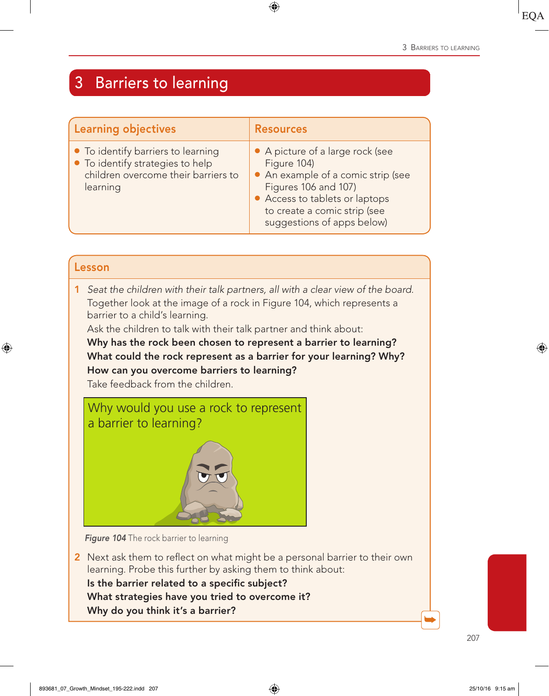# 3 Barriers to learning

| <b>Learning objectives</b>                                                                                                | <b>Resources</b>                                                                                                                                                                                              |
|---------------------------------------------------------------------------------------------------------------------------|---------------------------------------------------------------------------------------------------------------------------------------------------------------------------------------------------------------|
| • To identify barriers to learning<br>• To identify strategies to help<br>children overcome their barriers to<br>learning | • A picture of a large rock (see<br>Figure 104)<br>• An example of a comic strip (see<br>Figures 106 and 107)<br>• Access to tablets or laptops<br>to create a comic strip (see<br>suggestions of apps below) |

| barrier to a child's learning.<br>How can you overcome barriers to learning?<br>Take feedback from the children. |  | Seat the children with their talk partners, all with a clear view of the board.<br>Together look at the image of a rock in Figure 104, which represents a<br>Ask the children to talk with their talk partner and think about:<br>Why has the rock been chosen to represent a barrier to learning?<br>What could the rock represent as a barrier for your learning? Why? |
|------------------------------------------------------------------------------------------------------------------|--|--------------------------------------------------------------------------------------------------------------------------------------------------------------------------------------------------------------------------------------------------------------------------------------------------------------------------------------------------------------------------|
|                                                                                                                  |  | Why would you use a rock to represent<br>a barrier to learning?                                                                                                                                                                                                                                                                                                          |



**Figure 104** The rock barrier to learning

2 Next ask them to reflect on what might be a personal barrier to their own learning. Probe this further by asking them to think about: Is the barrier related to a specific subject? What strategies have you tried to overcome it? Why do you think it's a barrier?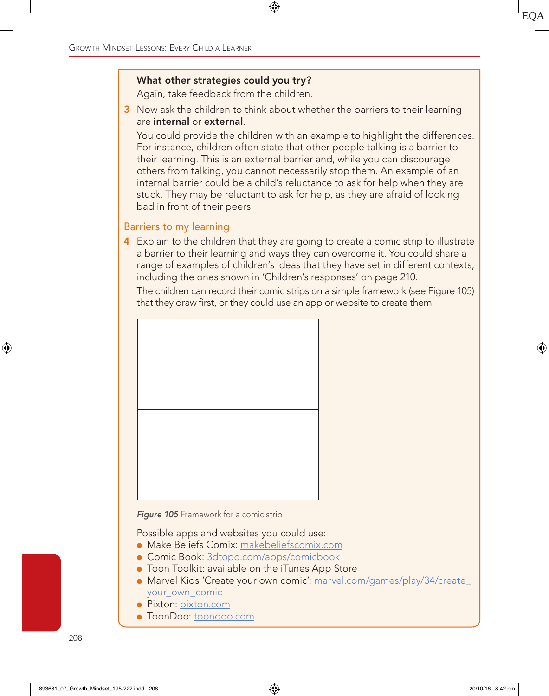#### What other strategies could you try?

Again, take feedback from the children.

3 Now ask the children to think about whether the barriers to their learning are internal or external.

You could provide the children with an example to highlight the differences. For instance, children often state that other people talking is a barrier to their learning. This is an external barrier and, while you can discourage others from talking, you cannot necessarily stop them. An example of an internal barrier could be a child's reluctance to ask for help when they are stuck. They may be reluctant to ask for help, as they are afraid of looking bad in front of their peers.

### Barriers to my learning

4 Explain to the children that they are going to create a comic strip to illustrate a barrier to their learning and ways they can overcome it. You could share a range of examples of children's ideas that they have set in different contexts, including the ones shown in 'Children's responses' on page 210.

The children can record their comic strips on a simple framework (see Figure 105) that they draw first, or they could use an app or website to create them.

**Figure 105** Framework for a comic strip

Possible apps and websites you could use:

- Make Beliefs Comix: makebeliefscomix.com
- Comic Book: 3dtopo.com/apps/comicbook
- Toon Toolkit: available on the iTunes App Store
- Marvel Kids 'Create your own comic': marvel.com/games/play/34/create your own comic
- Pixton: pixton.com
- ToonDoo: toondoo.com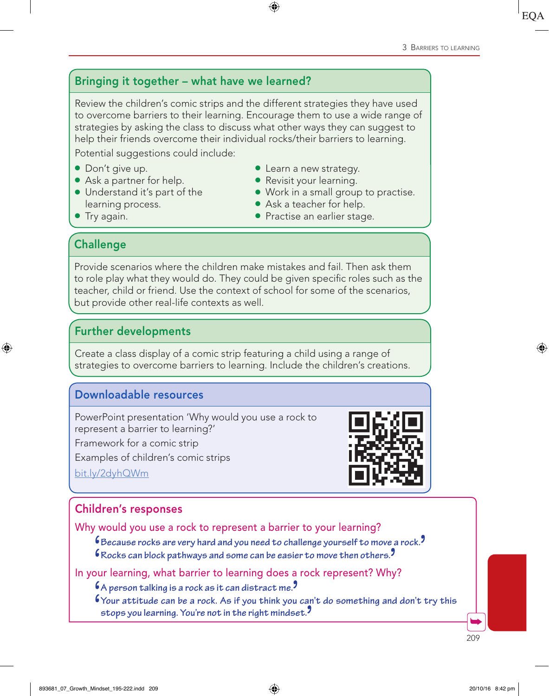# Bringing it together – what have we learned?

Review the children's comic strips and the different strategies they have used to overcome barriers to their learning. Encourage them to use a wide range of strategies by asking the class to discuss what other ways they can suggest to help their friends overcome their individual rocks/their barriers to learning.

Potential suggestions could include:

- Don't give up.
- Ask a partner for help.
- Understand it's part of the learning process.
- Learn a new strategy.
- Revisit your learning.
- Work in a small group to practise.
- Ask a teacher for help.
- Practise an earlier stage.

**Challenge** 

● Try again.

Provide scenarios where the children make mistakes and fail. Then ask them to role play what they would do. They could be given specific roles such as the teacher, child or friend. Use the context of school for some of the scenarios, but provide other real-life contexts as well.

### Further developments

Create a class display of a comic strip featuring a child using a range of strategies to overcome barriers to learning. Include the children's creations.

# Downloadable resources

PowerPoint presentation 'Why would you use a rock to represent a barrier to learning?'

Framework for a comic strip

Examples of children's comic strips

bit.ly/2dyhQWm



# Children's responses

Why would you use a rock to represent a barrier to your learning?

 $\mathfrak s$  Because rocks are very hard and you need to challenge yourself to move a rock.<sup>9</sup>

**6** Rocks can block pathways and some can be easier to move then others.

In your learning, what barrier to learning does a rock represent? Why?

 $6A$  person talking is a rock as it can distract me.

Your attitude can be a rock. As if you think you can't do something and don't try this stops you learning. You're not in the right mindset.